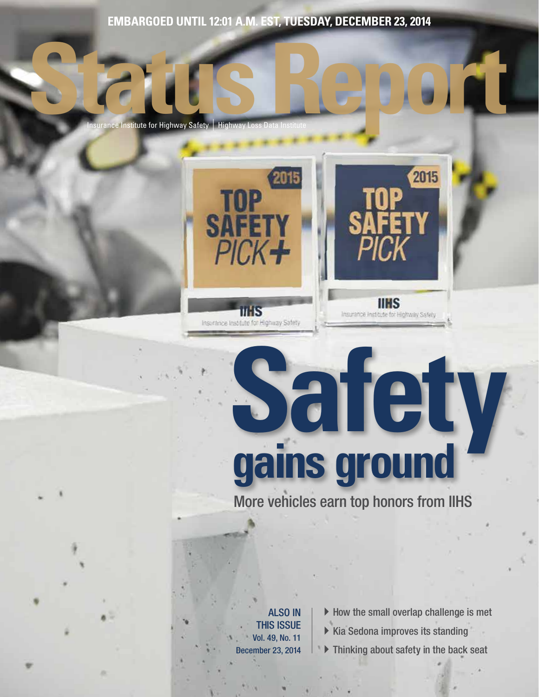**EMBARGOED UNTIL 12:01 A.M. EST, TUESDAY, DECEMBER 23, 2014**

2015

**SAFET** 

 $PICK +$ 

TIHS Insurance Institute for Highway Safety

**INSURGE INSURGE INSURGE INSURGE IN AUTOR** 



# **Safety gains ground**

More vehicles earn top honors from IIHS

ALSO IN THIS ISSUE Vol. 49, No. 11 December 23, 2014

- $\blacktriangleright$  How the small overlap challenge is met
- $\triangleright$  Kia Sedona improves its standing
- $\blacktriangleright$  Thinking about safety in the back seat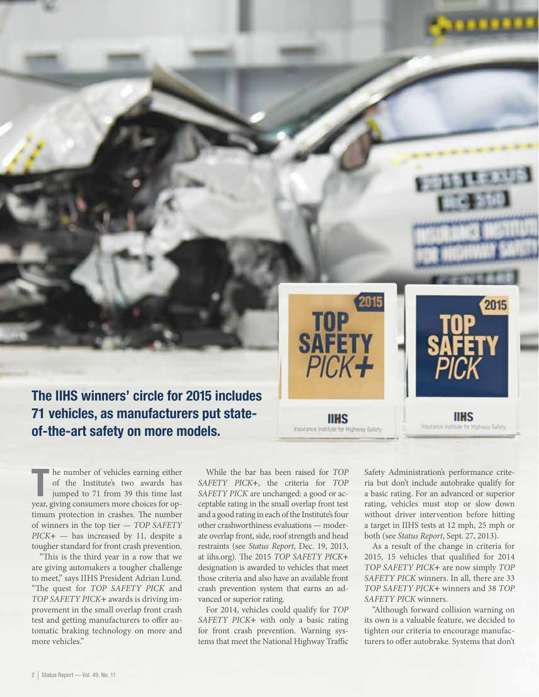The IIHS winners' circle for 2015 includes 71 vehicles, as manufacturers put stateof-the-art safety on more models.

In the number of vehicles earning either<br>of the Institute's two awards has<br>jumped to 71 from 39 this time last<br>year, giving consumers more choices for ophe number of vehicles earning either of the Institute's two awards has jumped to 71 from 39 this time last timum protection in crashes. The number of winners in the top tier — *TOP SAFETY PICK***+** — has increased by 11, despite a tougher standard for front crash prevention.

"This is the third year in a row that we are giving automakers a tougher challenge to meet," says IIHS President Adrian Lund. "The quest for *TOP SAFETY PICK* and *TOP SAFETY PICK***+** awards is driving improvement in the small overlap front crash test and getting manufacturers to offer automatic braking technology on more and more vehicles."

While the bar has been raised for *TOP SAFETY PICK***+**, the criteria for *TOP SAFETY PICK* are unchanged: a good or acceptable rating in the small overlap front test and a good rating in each of the Institute's four other crashworthiness evaluations — moderate overlap front, side, roof strength and head restraints (see *Status Report*, Dec. 19, 2013, at iihs.org). The 2015 *TOP SAFETY PICK***+** designation is awarded to vehicles that meet those criteria and also have an available front crash prevention system that earns an advanced or superior rating.

TOP<br>SAFETY

 $PICK +$ 

**IIHS** 

Insulation Institute for Highway Safety

For 2014, vehicles could qualify for *TOP SAFETY PICK***+** with only a basic rating for front crash prevention. Warning systems that meet the National Highway Traffic

Safety Administration's performance criteria but don't include autobrake qualify for a basic rating. For an advanced or superior rating, vehicles must stop or slow down without driver intervention before hitting a target in IIHS tests at 12 mph, 25 mph or both (see *Status Report*, Sept. 27, 2013).

**IIHS** 

Insurance Institute for Highway Safety

2015

As a result of the change in criteria for 2015, 15 vehicles that qualified for 2014 *TOP SAFETY PICK***+** are now simply *TOP SAFETY PICK* winners. In all, there are 33 *TOP SAFETY PICK***+** winners and 38 *TOP SAFETY PICK* winners.

"Although forward collision warning on its own is a valuable feature, we decided to tighten our criteria to encourage manufacturers to offer autobrake. Systems that don't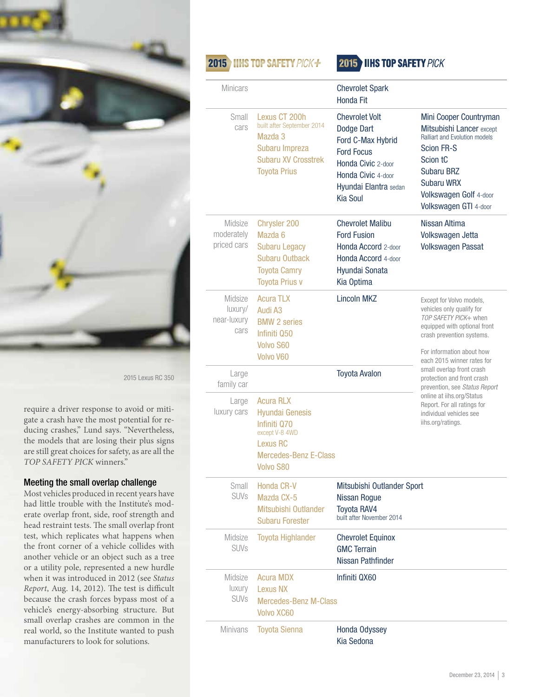

2015 Lexus RC 350

require a driver response to avoid or mitigate a crash have the most potential for reducing crashes," Lund says. "Nevertheless, the models that are losing their plus signs are still great choices for safety, as are all the *TOP SAFETY PICK* winners."

#### Meeting the small overlap challenge

Most vehicles produced in recent years have had little trouble with the Institute's moderate overlap front, side, roof strength and head restraint tests. The small overlap front test, which replicates what happens when the front corner of a vehicle collides with another vehicle or an object such as a tree or a utility pole, represented a new hurdle when it was introduced in 2012 (see *Status Report*, Aug. 14, 2012). The test is difficult because the crash forces bypass most of a vehicle's energy-absorbing structure. But small overlap crashes are common in the real world, so the Institute wanted to push manufacturers to look for solutions.

## 2015 IIHS TOP SAFETY PICK+

### 2015 IIHS TOP SAFETY PICK

| <b>Minicars</b>                           |                                                                                                                                              | <b>Chevrolet Spark</b><br>Honda Fit                                                                                                                                   |                                                                                                                                                                                                                          |  |
|-------------------------------------------|----------------------------------------------------------------------------------------------------------------------------------------------|-----------------------------------------------------------------------------------------------------------------------------------------------------------------------|--------------------------------------------------------------------------------------------------------------------------------------------------------------------------------------------------------------------------|--|
| Small<br>cars                             | Lexus CT 200h<br>built after September 2014<br>Mazda 3<br>Subaru Impreza<br><b>Subaru XV Crosstrek</b><br><b>Toyota Prius</b>                | <b>Chevrolet Volt</b><br>Dodge Dart<br>Ford C-Max Hybrid<br><b>Ford Focus</b><br>Honda Civic 2-door<br>Honda Civic 4-door<br>Hyundai Elantra sedan<br><b>Kia Soul</b> | Mini Cooper Countryman<br>Mitsubishi Lancer except<br><b>Ralliart and Evolution models</b><br><b>Scion FR-S</b><br>Scion tC<br><b>Subaru BRZ</b><br><b>Subaru WRX</b><br>Volkswagen Golf 4-door<br>Volkswagen GTI 4-door |  |
| Midsize<br>moderately<br>priced cars      | Chrysler 200<br>Mazda 6<br><b>Subaru Legacy</b><br><b>Subaru Outback</b><br><b>Toyota Camry</b><br><b>Toyota Prius v</b>                     | <b>Chevrolet Malibu</b><br><b>Ford Fusion</b><br>Honda Accord 2-door<br>Honda Accord 4-door<br>Hyundai Sonata<br>Kia Optima                                           | Nissan Altima<br>Volkswagen Jetta<br><b>Volkswagen Passat</b>                                                                                                                                                            |  |
| Midsize<br>luxury/<br>near-luxury<br>cars | <b>Acura TLX</b><br>Audi A3<br><b>BMW 2 series</b><br>Infiniti 050<br><b>Volvo S60</b><br>Volvo V60                                          | <b>Lincoln MKZ</b>                                                                                                                                                    | Except for Volvo models,<br>vehicles only qualify for<br>TOP SAFETY PICK+ when<br>equipped with optional front<br>crash prevention systems.<br>For information about how<br>each 2015 winner rates for                   |  |
| Large<br>family car                       |                                                                                                                                              | <b>Toyota Avalon</b>                                                                                                                                                  | small overlap front crash<br>protection and front crash<br>prevention, see Status Report<br>online at iihs.org/Status<br>Report. For all ratings for<br>individual vehicles see<br>iihs.org/ratings.                     |  |
| Large<br>luxury cars                      | <b>Acura RLX</b><br><b>Hyundai Genesis</b><br>Infiniti 070<br>except V-8 4WD<br>Lexus RC<br><b>Mercedes-Benz E-Class</b><br><b>Volvo S80</b> |                                                                                                                                                                       |                                                                                                                                                                                                                          |  |
| Small<br><b>SUVs</b>                      | Honda CR-V<br>Mazda CX-5<br>Mitsubishi Outlander<br><b>Subaru Forester</b>                                                                   | Mitsubishi Outlander Sport<br>Nissan Rogue<br><b>Toyota RAV4</b><br>built after November 2014                                                                         |                                                                                                                                                                                                                          |  |
| Midsize<br><b>SUVs</b>                    | <b>Toyota Highlander</b>                                                                                                                     | <b>Chevrolet Equinox</b><br><b>GMC Terrain</b><br>Nissan Pathfinder                                                                                                   |                                                                                                                                                                                                                          |  |
| Midsize<br>luxury<br><b>SUVs</b>          | <b>Acura MDX</b><br><b>Lexus NX</b><br><b>Mercedes-Benz M-Class</b><br>Volvo XC60                                                            | Infiniti QX60                                                                                                                                                         |                                                                                                                                                                                                                          |  |
| <b>Minivans</b>                           | <b>Toyota Sienna</b>                                                                                                                         | <b>Honda Odyssey</b><br>Kia Sedona                                                                                                                                    |                                                                                                                                                                                                                          |  |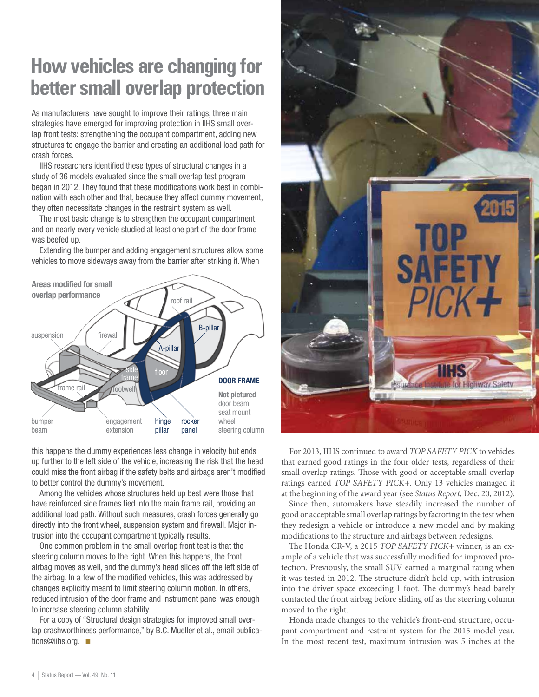## **How vehicles are changing for better small overlap protection**

As manufacturers have sought to improve their ratings, three main strategies have emerged for improving protection in IIHS small overlap front tests: strengthening the occupant compartment, adding new structures to engage the barrier and creating an additional load path for crash forces.

IIHS researchers identified these types of structural changes in a study of 36 models evaluated since the small overlap test program began in 2012. They found that these modifications work best in combination with each other and that, because they affect dummy movement, they often necessitate changes in the restraint system as well.

The most basic change is to strengthen the occupant compartment, and on nearly every vehicle studied at least one part of the door frame was beefed up.

Extending the bumper and adding engagement structures allow some vehicles to move sideways away from the barrier after striking it. When



this happens the dummy experiences less change in velocity but ends up further to the left side of the vehicle, increasing the risk that the head could miss the front airbag if the safety belts and airbags aren't modified to better control the dummy's movement.

Among the vehicles whose structures held up best were those that have reinforced side frames tied into the main frame rail, providing an additional load path. Without such measures, crash forces generally go directly into the front wheel, suspension system and firewall. Major intrusion into the occupant compartment typically results.

One common problem in the small overlap front test is that the steering column moves to the right. When this happens, the front airbag moves as well, and the dummy's head slides off the left side of the airbag. In a few of the modified vehicles, this was addressed by changes explicitly meant to limit steering column motion. In others, reduced intrusion of the door frame and instrument panel was enough to increase steering column stability.

For a copy of "Structural design strategies for improved small overlap crashworthiness performance," by B.C. Mueller et al., email publications@iihs.org.



For 2013, IIHS continued to award *TOP SAFETY PICK* to vehicles that earned good ratings in the four older tests, regardless of their small overlap ratings. Those with good or acceptable small overlap ratings earned *TOP SAFETY PICK***+**. Only 13 vehicles managed it at the beginning of the award year (see *Status Report*, Dec. 20, 2012).

Since then, automakers have steadily increased the number of good or acceptable small overlap ratings by factoring in the test when they redesign a vehicle or introduce a new model and by making modifications to the structure and airbags between redesigns.

The Honda CR-V, a 2015 *TOP SAFETY PICK***+** winner, is an example of a vehicle that was successfully modified for improved protection. Previously, the small SUV earned a marginal rating when it was tested in 2012. The structure didn't hold up, with intrusion into the driver space exceeding 1 foot. The dummy's head barely contacted the front airbag before sliding off as the steering column moved to the right.

Honda made changes to the vehicle's front-end structure, occupant compartment and restraint system for the 2015 model year. In the most recent test, maximum intrusion was 5 inches at the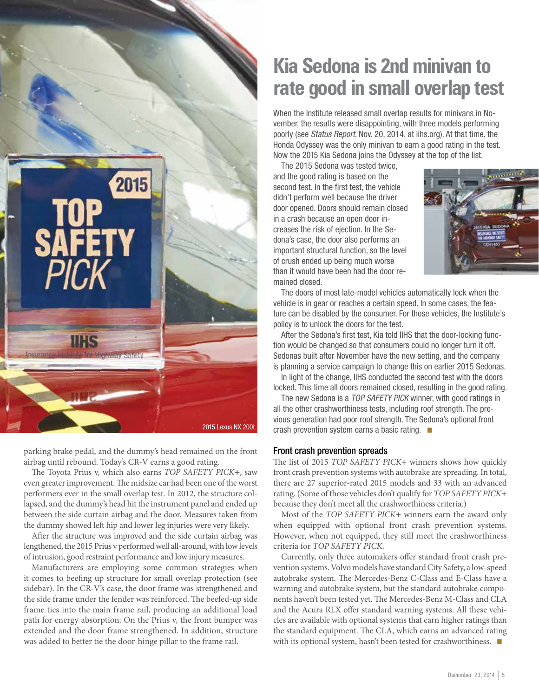

parking brake pedal, and the dummy's head remained on the front airbag until rebound. Today's CR-V earns a good rating.

The Toyota Prius v, which also earns *TOP SAFETY PICK***+**, saw even greater improvement. The midsize car had been one of the worst performers ever in the small overlap test. In 2012, the structure collapsed, and the dummy's head hit the instrument panel and ended up between the side curtain airbag and the door. Measures taken from the dummy showed left hip and lower leg injuries were very likely.

After the structure was improved and the side curtain airbag was lengthened, the 2015 Prius v performed well all-around, with low levels of intrusion, good restraint performance and low injury measures.

Manufacturers are employing some common strategies when it comes to beefing up structure for small overlap protection (see sidebar). In the CR-V's case, the door frame was strengthened and the side frame under the fender was reinforced. The beefed-up side frame ties into the main frame rail, producing an additional load path for energy absorption. On the Prius v, the front bumper was extended and the door frame strengthened. In addition, structure was added to better tie the door-hinge pillar to the frame rail.

## **Kia Sedona is 2nd minivan to rate good in small overlap test**

When the Institute released small overlap results for minivans in November, the results were disappointing, with three models performing poorly (see Status Report, Nov. 20, 2014, at iihs.org). At that time, the Honda Odyssey was the only minivan to earn a good rating in the test. Now the 2015 Kia Sedona joins the Odyssey at the top of the list.

The 2015 Sedona was tested twice, and the good rating is based on the second test. In the first test, the vehicle didn't perform well because the driver door opened. Doors should remain closed in a crash because an open door increases the risk of ejection. In the Sedona's case, the door also performs an important structural function, so the level of crush ended up being much worse than it would have been had the door remained closed.



The doors of most late-model vehicles automatically lock when the vehicle is in gear or reaches a certain speed. In some cases, the feature can be disabled by the consumer. For those vehicles, the Institute's policy is to unlock the doors for the test.

After the Sedona's first test, Kia told IIHS that the door-locking function would be changed so that consumers could no longer turn it off. Sedonas built after November have the new setting, and the company is planning a service campaign to change this on earlier 2015 Sedonas.

In light of the change, IIHS conducted the second test with the doors locked. This time all doors remained closed, resulting in the good rating.

The new Sedona is a TOP SAFETY PICK winner, with good ratings in all the other crashworthiness tests, including roof strength. The previous generation had poor roof strength. The Sedona's optional front crash prevention system earns a basic rating.  $\blacksquare$ 

#### Front crash prevention spreads

The list of 2015 *TOP SAFETY PICK***+** winners shows how quickly front crash prevention systems with autobrake are spreading. In total, there are 27 superior-rated 2015 models and 33 with an advanced rating. (Some of those vehicles don't qualify for *TOP SAFETY PICK***+**  because they don't meet all the crashworthiness criteria.)

Most of the *TOP SAFETY PICK***+** winners earn the award only when equipped with optional front crash prevention systems. However, when not equipped, they still meet the crashworthiness criteria for *TOP SAFETY PICK*.

Currently, only three automakers offer standard front crash prevention systems. Volvo models have standard City Safety, a low-speed autobrake system. The Mercedes-Benz C-Class and E-Class have a warning and autobrake system, but the standard autobrake components haven't been tested yet. The Mercedes-Benz M-Class and CLA and the Acura RLX offer standard warning systems. All these vehicles are available with optional systems that earn higher ratings than the standard equipment. The CLA, which earns an advanced rating with its optional system, hasn't been tested for crashworthiness.  $\blacksquare$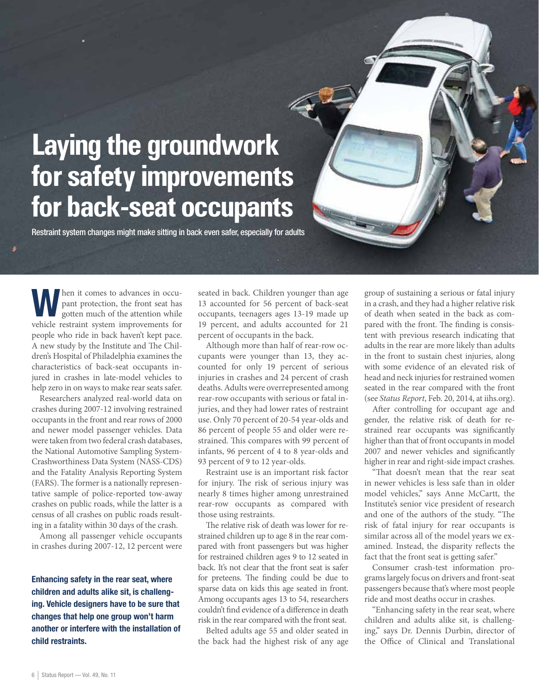## **Laying the groundwork for safety improvements for back-seat occupants**

Restraint system changes might make sitting in back even safer, especially for adults

When it comes to advances in occu-<br>pant protection, the front seat has<br>gotten much of the attention while pant protection, the front seat has vehicle restraint system improvements for people who ride in back haven't kept pace. A new study by the Institute and The Children's Hospital of Philadelphia examines the characteristics of back-seat occupants injured in crashes in late-model vehicles to help zero in on ways to make rear seats safer.

Researchers analyzed real-world data on crashes during 2007-12 involving restrained occupants in the front and rear rows of 2000 and newer model passenger vehicles. Data were taken from two federal crash databases, the National Automotive Sampling System-Crashworthiness Data System (NASS-CDS) and the Fatality Analysis Reporting System (FARS). The former is a nationally representative sample of police-reported tow-away crashes on public roads, while the latter is a census of all crashes on public roads resulting in a fatality within 30 days of the crash.

Among all passenger vehicle occupants in crashes during 2007-12, 12 percent were

Enhancing safety in the rear seat, where children and adults alike sit, is challenging. Vehicle designers have to be sure that changes that help one group won't harm another or interfere with the installation of child restraints.

seated in back. Children younger than age 13 accounted for 56 percent of back-seat occupants, teenagers ages 13-19 made up 19 percent, and adults accounted for 21 percent of occupants in the back.

Although more than half of rear-row occupants were younger than 13, they accounted for only 19 percent of serious injuries in crashes and 24 percent of crash deaths. Adults were overrepresented among rear-row occupants with serious or fatal injuries, and they had lower rates of restraint use. Only 70 percent of 20-54 year-olds and 86 percent of people 55 and older were restrained. This compares with 99 percent of infants, 96 percent of 4 to 8 year-olds and 93 percent of 9 to 12 year-olds.

Restraint use is an important risk factor for injury. The risk of serious injury was nearly 8 times higher among unrestrained rear-row occupants as compared with those using restraints.

The relative risk of death was lower for restrained children up to age 8 in the rear compared with front passengers but was higher for restrained children ages 9 to 12 seated in back. It's not clear that the front seat is safer for preteens. The finding could be due to sparse data on kids this age seated in front. Among occupants ages 13 to 54, researchers couldn't find evidence of a difference in death risk in the rear compared with the front seat.

Belted adults age 55 and older seated in the back had the highest risk of any age

group of sustaining a serious or fatal injury in a crash, and they had a higher relative risk of death when seated in the back as compared with the front. The finding is consistent with previous research indicating that adults in the rear are more likely than adults in the front to sustain chest injuries, along with some evidence of an elevated risk of head and neck injuries for restrained women seated in the rear compared with the front (see *Status Report*, Feb. 20, 2014, at iihs.org).

After controlling for occupant age and gender, the relative risk of death for restrained rear occupants was significantly higher than that of front occupants in model 2007 and newer vehicles and significantly higher in rear and right-side impact crashes.

"That doesn't mean that the rear seat in newer vehicles is less safe than in older model vehicles," says Anne McCartt, the Institute's senior vice president of research and one of the authors of the study. "The risk of fatal injury for rear occupants is similar across all of the model years we examined. Instead, the disparity reflects the fact that the front seat is getting safer."

Consumer crash-test information programs largely focus on drivers and front-seat passengers because that's where most people ride and most deaths occur in crashes.

"Enhancing safety in the rear seat, where children and adults alike sit, is challenging," says Dr. Dennis Durbin, director of the Office of Clinical and Translational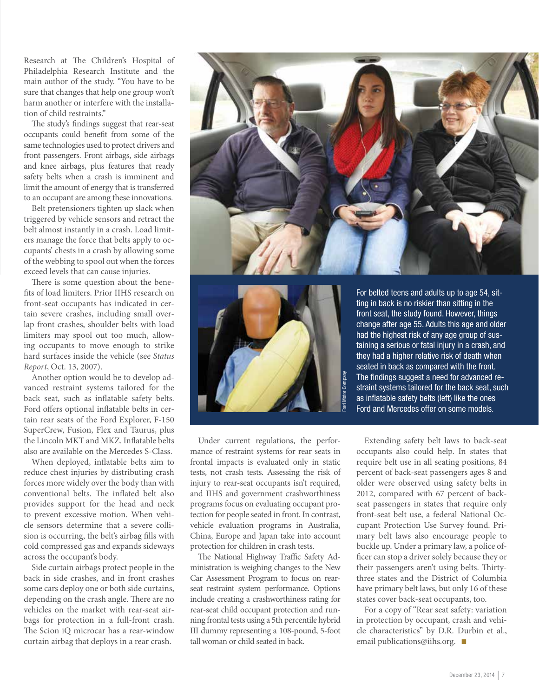Research at The Children's Hospital of Philadelphia Research Institute and the main author of the study. "You have to be sure that changes that help one group won't harm another or interfere with the installation of child restraints."

The study's findings suggest that rear-seat occupants could benefit from some of the same technologies used to protect drivers and front passengers. Front airbags, side airbags and knee airbags, plus features that ready safety belts when a crash is imminent and limit the amount of energy that is transferred to an occupant are among these innovations.

Belt pretensioners tighten up slack when triggered by vehicle sensors and retract the belt almost instantly in a crash. Load limiters manage the force that belts apply to occupants' chests in a crash by allowing some of the webbing to spool out when the forces exceed levels that can cause injuries.

There is some question about the benefits of load limiters. Prior IIHS research on front-seat occupants has indicated in certain severe crashes, including small overlap front crashes, shoulder belts with load limiters may spool out too much, allowing occupants to move enough to strike hard surfaces inside the vehicle (see *Status Report*, Oct. 13, 2007).

Another option would be to develop advanced restraint systems tailored for the back seat, such as inflatable safety belts. Ford offers optional inflatable belts in certain rear seats of the Ford Explorer, F-150 SuperCrew, Fusion, Flex and Taurus, plus the Lincoln MKT and MKZ. Inflatable belts also are available on the Mercedes S-Class.

When deployed, inflatable belts aim to reduce chest injuries by distributing crash forces more widely over the body than with conventional belts. The inflated belt also provides support for the head and neck to prevent excessive motion. When vehicle sensors determine that a severe collision is occurring, the belt's airbag fills with cold compressed gas and expands sideways across the occupant's body.

Side curtain airbags protect people in the back in side crashes, and in front crashes some cars deploy one or both side curtains, depending on the crash angle. There are no vehicles on the market with rear-seat airbags for protection in a full-front crash. The Scion iQ microcar has a rear-window curtain airbag that deploys in a rear crash.





For belted teens and adults up to age 54, sitting in back is no riskier than sitting in the front seat, the study found. However, things change after age 55. Adults this age and older had the highest risk of any age group of sustaining a serious or fatal injury in a crash, and they had a higher relative risk of death when seated in back as compared with the front. The findings suggest a need for advanced restraint systems tailored for the back seat, such as inflatable safety belts (left) like the ones Ford and Mercedes offer on some models.

Under current regulations, the performance of restraint systems for rear seats in frontal impacts is evaluated only in static tests, not crash tests. Assessing the risk of injury to rear-seat occupants isn't required, and IIHS and government crashworthiness programs focus on evaluating occupant protection for people seated in front. In contrast, vehicle evaluation programs in Australia, China, Europe and Japan take into account protection for children in crash tests.

The National Highway Traffic Safety Administration is weighing changes to the New Car Assessment Program to focus on rearseat restraint system performance. Options include creating a crashworthiness rating for rear-seat child occupant protection and running frontal tests using a 5th percentile hybrid III dummy representing a 108-pound, 5-foot tall woman or child seated in back.

Extending safety belt laws to back-seat occupants also could help. In states that require belt use in all seating positions, 84 percent of back-seat passengers ages 8 and older were observed using safety belts in 2012, compared with 67 percent of backseat passengers in states that require only front-seat belt use, a federal National Occupant Protection Use Survey found. Primary belt laws also encourage people to buckle up. Under a primary law, a police officer can stop a driver solely because they or their passengers aren't using belts. Thirtythree states and the District of Columbia have primary belt laws, but only 16 of these states cover back-seat occupants, too.

For a copy of "Rear seat safety: variation in protection by occupant, crash and vehicle characteristics" by D.R. Durbin et al., email publications@iihs.org.  $\blacksquare$